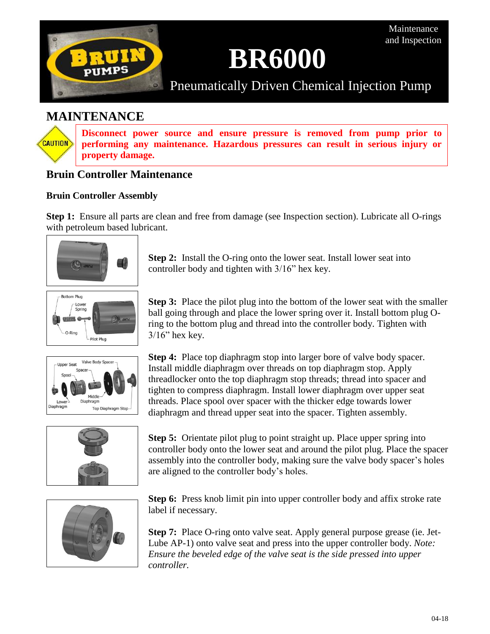

# **BR6000**

Pneumatically Driven Chemical Injection Pump

# **MAINTENANCE**

**CAUTION** 

**Disconnect power source and ensure pressure is removed from pump prior to performing any maintenance. Hazardous pressures can result in serious injury or property damage.**

## **Bruin Controller Maintenance**

## **Bruin Controller Assembly**

**Step 1:** Ensure all parts are clean and free from damage (see Inspection section). Lubricate all O-rings with petroleum based lubricant.



**Bottom Plug** Spring **OVER 6** O-Ring Pilot Plug

 $3/16$ " hex key.



**Step 4:** Place top diaphragm stop into larger bore of valve body spacer. Install middle diaphragm over threads on top diaphragm stop. Apply threadlocker onto the top diaphragm stop threads; thread into spacer and tighten to compress diaphragm. Install lower diaphragm over upper seat threads. Place spool over spacer with the thicker edge towards lower diaphragm and thread upper seat into the spacer. Tighten assembly.



**Step 5:** Orientate pilot plug to point straight up. Place upper spring into controller body onto the lower seat and around the pilot plug. Place the spacer assembly into the controller body, making sure the valve body spacer's holes are aligned to the controller body's holes.



**Step 6:** Press knob limit pin into upper controller body and affix stroke rate label if necessary.

**Step 7:** Place O-ring onto valve seat. Apply general purpose grease (ie. Jet-Lube AP-1) onto valve seat and press into the upper controller body. *Note: Ensure the beveled edge of the valve seat is the side pressed into upper controller.*

**Step 2:** Install the O-ring onto the lower seat. Install lower seat into controller body and tighten with 3/16" hex key.

**Step 3:** Place the pilot plug into the bottom of the lower seat with the smaller ball going through and place the lower spring over it. Install bottom plug Oring to the bottom plug and thread into the controller body. Tighten with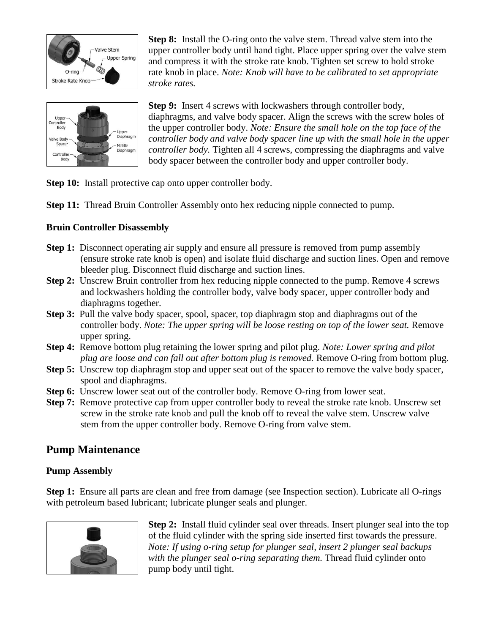

Uppe Body Jpper Diaphragn Valve Body Middle Diaphragn Controlle Body

**Step 8:** Install the O-ring onto the valve stem. Thread valve stem into the upper controller body until hand tight. Place upper spring over the valve stem and compress it with the stroke rate knob. Tighten set screw to hold stroke rate knob in place. *Note: Knob will have to be calibrated to set appropriate stroke rates.*

**Step 9:** Insert 4 screws with lockwashers through controller body, diaphragms, and valve body spacer. Align the screws with the screw holes of the upper controller body. *Note: Ensure the small hole on the top face of the controller body and valve body spacer line up with the small hole in the upper controller body.* Tighten all 4 screws, compressing the diaphragms and valve body spacer between the controller body and upper controller body.

- **Step 10:** Install protective cap onto upper controller body.
- **Step 11:** Thread Bruin Controller Assembly onto hex reducing nipple connected to pump.

## **Bruin Controller Disassembly**

- **Step 1:** Disconnect operating air supply and ensure all pressure is removed from pump assembly (ensure stroke rate knob is open) and isolate fluid discharge and suction lines. Open and remove bleeder plug. Disconnect fluid discharge and suction lines.
- **Step 2:** Unscrew Bruin controller from hex reducing nipple connected to the pump. Remove 4 screws and lockwashers holding the controller body, valve body spacer, upper controller body and diaphragms together.
- **Step 3:** Pull the valve body spacer, spool, spacer, top diaphragm stop and diaphragms out of the controller body. *Note: The upper spring will be loose resting on top of the lower seat.* Remove upper spring.
- **Step 4:** Remove bottom plug retaining the lower spring and pilot plug. *Note: Lower spring and pilot plug are loose and can fall out after bottom plug is removed.* Remove O-ring from bottom plug.
- **Step 5:** Unscrew top diaphragm stop and upper seat out of the spacer to remove the valve body spacer, spool and diaphragms.
- **Step 6:** Unscrew lower seat out of the controller body. Remove O-ring from lower seat.
- **Step 7:** Remove protective cap from upper controller body to reveal the stroke rate knob. Unscrew set screw in the stroke rate knob and pull the knob off to reveal the valve stem. Unscrew valve stem from the upper controller body. Remove O-ring from valve stem.

## **Pump Maintenance**

## **Pump Assembly**

**Step 1:** Ensure all parts are clean and free from damage (see Inspection section). Lubricate all O-rings with petroleum based lubricant; lubricate plunger seals and plunger.



**Step 2:** Install fluid cylinder seal over threads. Insert plunger seal into the top of the fluid cylinder with the spring side inserted first towards the pressure. *Note: If using o-ring setup for plunger seal, insert 2 plunger seal backups with the plunger seal o-ring separating them.* Thread fluid cylinder onto pump body until tight.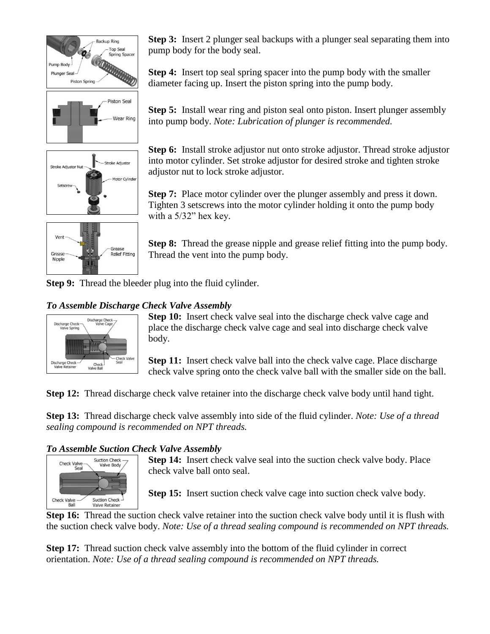





**Step 3:** Insert 2 plunger seal backups with a plunger seal separating them into pump body for the body seal.

**Step 4:** Insert top seal spring spacer into the pump body with the smaller diameter facing up. Insert the piston spring into the pump body.

**Step 5:** Install wear ring and piston seal onto piston. Insert plunger assembly into pump body. *Note: Lubrication of plunger is recommended.*

**Step 6:** Install stroke adjustor nut onto stroke adjustor. Thread stroke adjustor into motor cylinder. Set stroke adjustor for desired stroke and tighten stroke adjustor nut to lock stroke adjustor.

**Step 7:** Place motor cylinder over the plunger assembly and press it down. Tighten 3 setscrews into the motor cylinder holding it onto the pump body with a 5/32" hex key.

**Step 8:** Thread the grease nipple and grease relief fitting into the pump body. Thread the vent into the pump body.

**Step 9:** Thread the bleeder plug into the fluid cylinder.

## *To Assemble Discharge Check Valve Assembly*



**Step 10:** Insert check valve seal into the discharge check valve cage and place the discharge check valve cage and seal into discharge check valve body.

**Step 11:** Insert check valve ball into the check valve cage. Place discharge check valve spring onto the check valve ball with the smaller side on the ball.

**Step 12:** Thread discharge check valve retainer into the discharge check valve body until hand tight.

**Step 13:** Thread discharge check valve assembly into side of the fluid cylinder. *Note: Use of a thread sealing compound is recommended on NPT threads.*

## *To Assemble Suction Check Valve Assembly*



**Step 14:** Insert check valve seal into the suction check valve body. Place check valve ball onto seal.

**Step 15:** Insert suction check valve cage into suction check valve body.

**Step 16:** Thread the suction check valve retainer into the suction check valve body until it is flush with the suction check valve body. *Note: Use of a thread sealing compound is recommended on NPT threads.*

**Step 17:** Thread suction check valve assembly into the bottom of the fluid cylinder in correct orientation. *Note: Use of a thread sealing compound is recommended on NPT threads.*